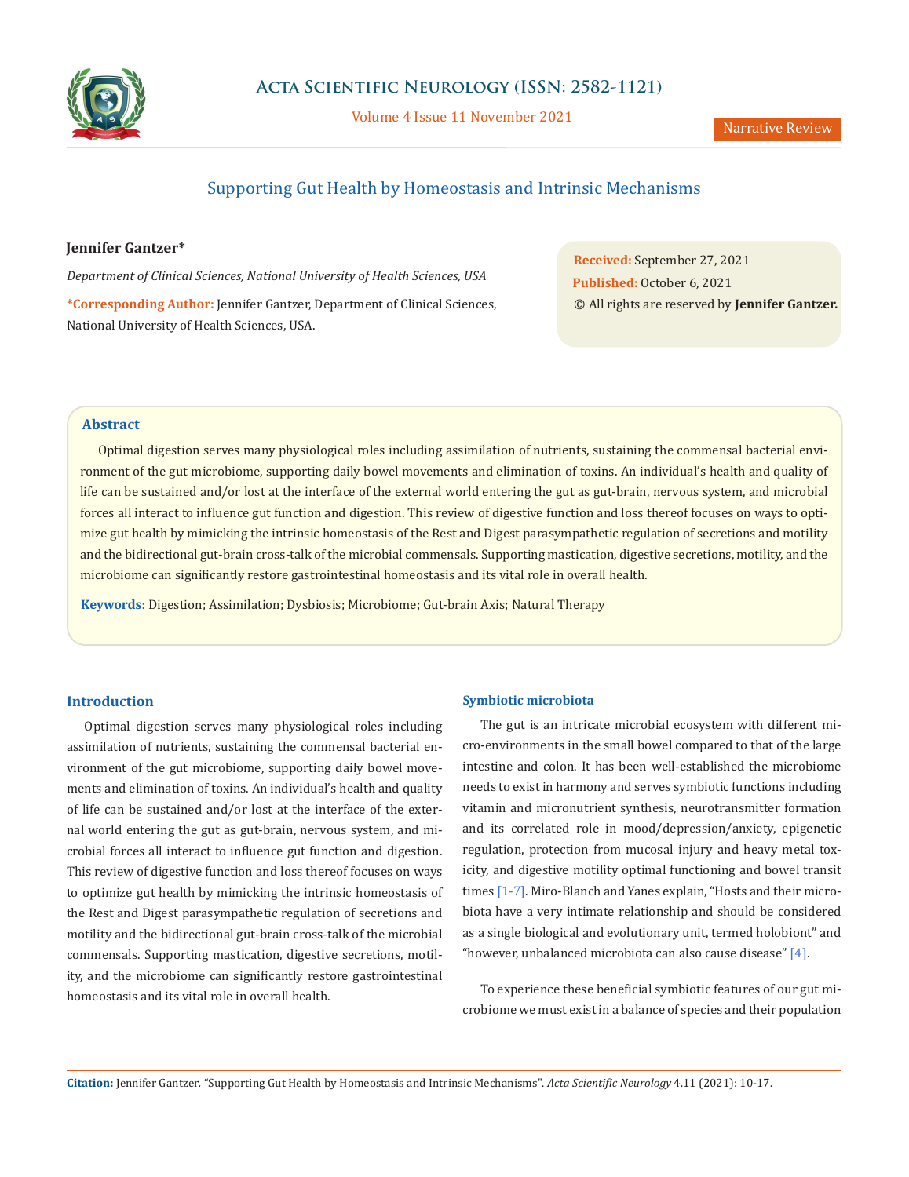

Volume 4 Issue 11 November 2021

# Supporting Gut Health by Homeostasis and Intrinsic Mechanisms

## **Jennifer Gantzer\***

*Department of Clinical Sciences, National University of Health Sciences, USA*

**\*Corresponding Author:** Jennifer Gantzer, Department of Clinical Sciences, National University of Health Sciences, USA.

**Received:** September 27, 2021 **Published:** October 6, 2021 © All rights are reserved by **Jennifer Gantzer.**

## **Abstract**

Optimal digestion serves many physiological roles including assimilation of nutrients, sustaining the commensal bacterial environment of the gut microbiome, supporting daily bowel movements and elimination of toxins. An individual's health and quality of life can be sustained and/or lost at the interface of the external world entering the gut as gut-brain, nervous system, and microbial forces all interact to influence gut function and digestion. This review of digestive function and loss thereof focuses on ways to optimize gut health by mimicking the intrinsic homeostasis of the Rest and Digest parasympathetic regulation of secretions and motility and the bidirectional gut-brain cross-talk of the microbial commensals. Supporting mastication, digestive secretions, motility, and the microbiome can significantly restore gastrointestinal homeostasis and its vital role in overall health.

**Keywords:** Digestion; Assimilation; Dysbiosis; Microbiome; Gut-brain Axis; Natural Therapy

#### **Introduction**

Optimal digestion serves many physiological roles including assimilation of nutrients, sustaining the commensal bacterial environment of the gut microbiome, supporting daily bowel movements and elimination of toxins. An individual's health and quality of life can be sustained and/or lost at the interface of the external world entering the gut as gut-brain, nervous system, and microbial forces all interact to influence gut function and digestion. This review of digestive function and loss thereof focuses on ways to optimize gut health by mimicking the intrinsic homeostasis of the Rest and Digest parasympathetic regulation of secretions and motility and the bidirectional gut-brain cross-talk of the microbial commensals. Supporting mastication, digestive secretions, motility, and the microbiome can significantly restore gastrointestinal homeostasis and its vital role in overall health.

#### **Symbiotic microbiota**

The gut is an intricate microbial ecosystem with different micro-environments in the small bowel compared to that of the large intestine and colon. It has been well-established the microbiome needs to exist in harmony and serves symbiotic functions including vitamin and micronutrient synthesis, neurotransmitter formation and its correlated role in mood/depression/anxiety, epigenetic regulation, protection from mucosal injury and heavy metal toxicity, and digestive motility optimal functioning and bowel transit times [1-7]. Miro-Blanch and Yanes explain, "Hosts and their microbiota have a very intimate relationship and should be considered as a single biological and evolutionary unit, termed holobiont" and "however, unbalanced microbiota can also cause disease"  $[4]$ .

To experience these beneficial symbiotic features of our gut microbiome we must exist in a balance of species and their population

**Citation:** Jennifer Gantzer*.* "Supporting Gut Health by Homeostasis and Intrinsic Mechanisms". *Acta Scientific Neurology* 4.11 (2021): 10-17.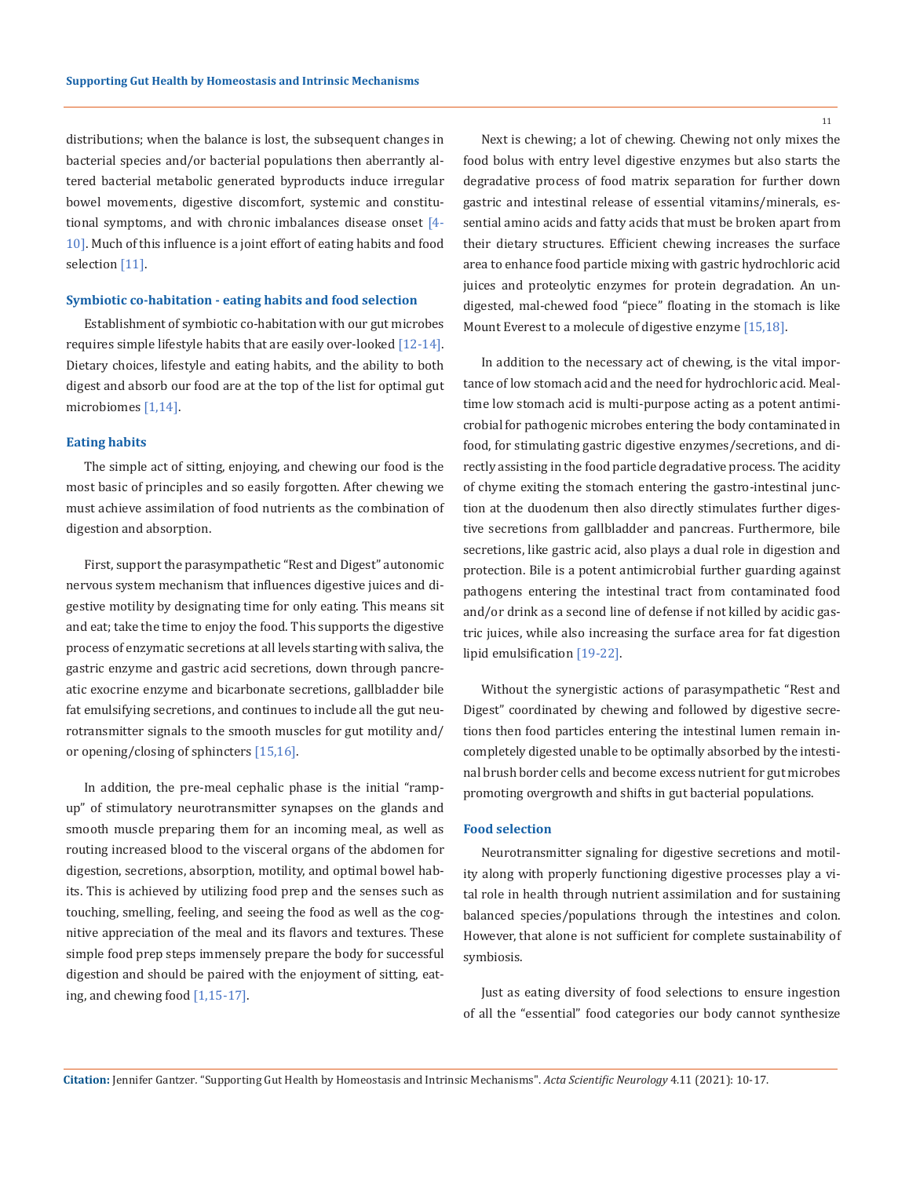distributions; when the balance is lost, the subsequent changes in bacterial species and/or bacterial populations then aberrantly altered bacterial metabolic generated byproducts induce irregular bowel movements, digestive discomfort, systemic and constitutional symptoms, and with chronic imbalances disease onset [4- 10]. Much of this influence is a joint effort of eating habits and food selection [11].

#### **Symbiotic co-habitation - eating habits and food selection**

Establishment of symbiotic co-habitation with our gut microbes requires simple lifestyle habits that are easily over-looked [12-14]. Dietary choices, lifestyle and eating habits, and the ability to both digest and absorb our food are at the top of the list for optimal gut microbiomes [1,14].

#### **Eating habits**

The simple act of sitting, enjoying, and chewing our food is the most basic of principles and so easily forgotten. After chewing we must achieve assimilation of food nutrients as the combination of digestion and absorption.

First, support the parasympathetic "Rest and Digest" autonomic nervous system mechanism that influences digestive juices and digestive motility by designating time for only eating. This means sit and eat; take the time to enjoy the food. This supports the digestive process of enzymatic secretions at all levels starting with saliva, the gastric enzyme and gastric acid secretions, down through pancreatic exocrine enzyme and bicarbonate secretions, gallbladder bile fat emulsifying secretions, and continues to include all the gut neurotransmitter signals to the smooth muscles for gut motility and/ or opening/closing of sphincters [15,16].

In addition, the pre-meal cephalic phase is the initial "rampup" of stimulatory neurotransmitter synapses on the glands and smooth muscle preparing them for an incoming meal, as well as routing increased blood to the visceral organs of the abdomen for digestion, secretions, absorption, motility, and optimal bowel habits. This is achieved by utilizing food prep and the senses such as touching, smelling, feeling, and seeing the food as well as the cognitive appreciation of the meal and its flavors and textures. These simple food prep steps immensely prepare the body for successful digestion and should be paired with the enjoyment of sitting, eating, and chewing food [1,15-17].

Next is chewing; a lot of chewing. Chewing not only mixes the food bolus with entry level digestive enzymes but also starts the degradative process of food matrix separation for further down gastric and intestinal release of essential vitamins/minerals, essential amino acids and fatty acids that must be broken apart from their dietary structures. Efficient chewing increases the surface area to enhance food particle mixing with gastric hydrochloric acid juices and proteolytic enzymes for protein degradation. An undigested, mal-chewed food "piece" floating in the stomach is like Mount Everest to a molecule of digestive enzyme [15,18].

In addition to the necessary act of chewing, is the vital importance of low stomach acid and the need for hydrochloric acid. Mealtime low stomach acid is multi-purpose acting as a potent antimicrobial for pathogenic microbes entering the body contaminated in food, for stimulating gastric digestive enzymes/secretions, and directly assisting in the food particle degradative process. The acidity of chyme exiting the stomach entering the gastro-intestinal junction at the duodenum then also directly stimulates further digestive secretions from gallbladder and pancreas. Furthermore, bile secretions, like gastric acid, also plays a dual role in digestion and protection. Bile is a potent antimicrobial further guarding against pathogens entering the intestinal tract from contaminated food and/or drink as a second line of defense if not killed by acidic gastric juices, while also increasing the surface area for fat digestion lipid emulsification [19-22].

Without the synergistic actions of parasympathetic "Rest and Digest" coordinated by chewing and followed by digestive secretions then food particles entering the intestinal lumen remain incompletely digested unable to be optimally absorbed by the intestinal brush border cells and become excess nutrient for gut microbes promoting overgrowth and shifts in gut bacterial populations.

#### **Food selection**

Neurotransmitter signaling for digestive secretions and motility along with properly functioning digestive processes play a vital role in health through nutrient assimilation and for sustaining balanced species/populations through the intestines and colon. However, that alone is not sufficient for complete sustainability of symbiosis.

Just as eating diversity of food selections to ensure ingestion of all the "essential" food categories our body cannot synthesize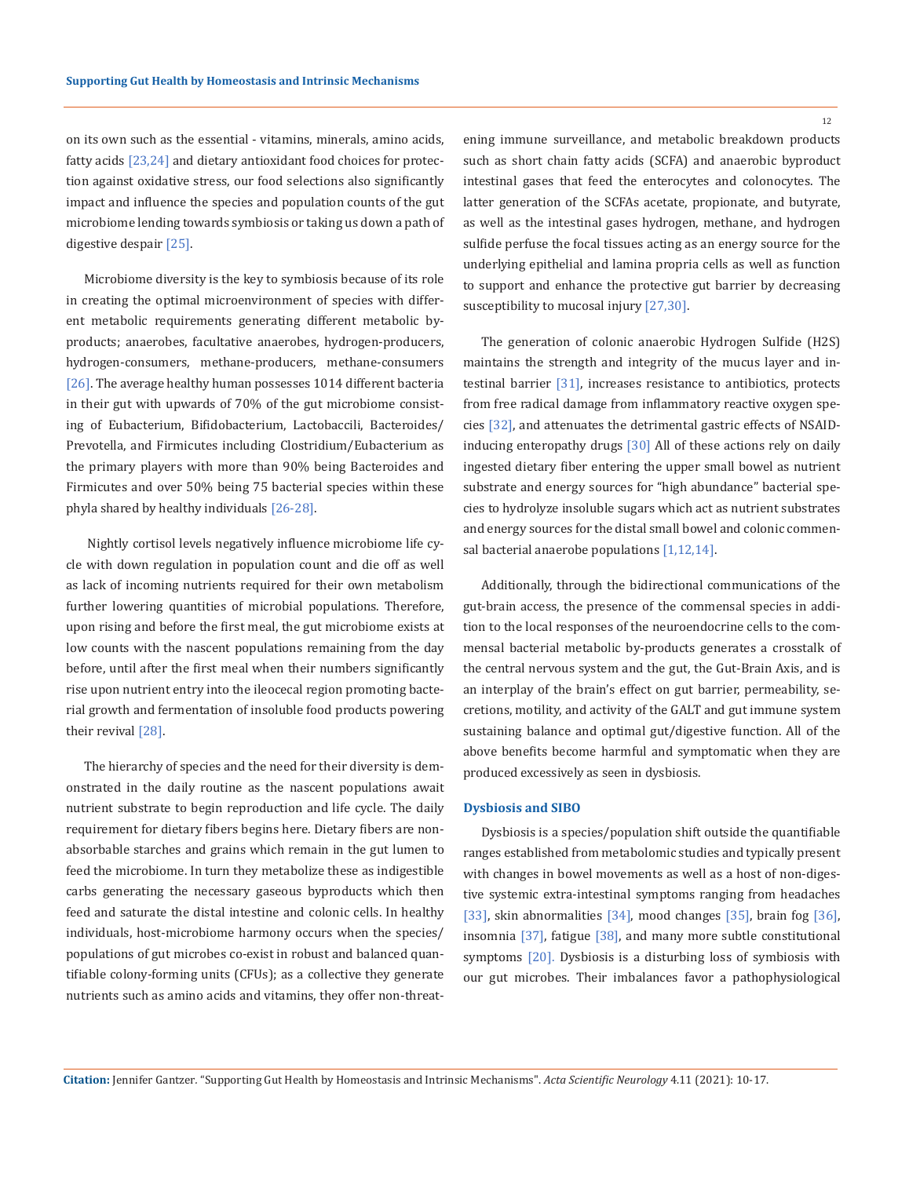on its own such as the essential - vitamins, minerals, amino acids, fatty acids [23,24] and dietary antioxidant food choices for protection against oxidative stress, our food selections also significantly impact and influence the species and population counts of the gut microbiome lending towards symbiosis or taking us down a path of digestive despair [25].

Microbiome diversity is the key to symbiosis because of its role in creating the optimal microenvironment of species with different metabolic requirements generating different metabolic byproducts; anaerobes, facultative anaerobes, hydrogen-producers, hydrogen-consumers, methane-producers, methane-consumers [26]. The average healthy human possesses 1014 different bacteria in their gut with upwards of 70% of the gut microbiome consisting of Eubacterium, Bifidobacterium, Lactobaccili, Bacteroides/ Prevotella, and Firmicutes including Clostridium/Eubacterium as the primary players with more than 90% being Bacteroides and Firmicutes and over 50% being 75 bacterial species within these phyla shared by healthy individuals [26-28].

 Nightly cortisol levels negatively influence microbiome life cycle with down regulation in population count and die off as well as lack of incoming nutrients required for their own metabolism further lowering quantities of microbial populations. Therefore, upon rising and before the first meal, the gut microbiome exists at low counts with the nascent populations remaining from the day before, until after the first meal when their numbers significantly rise upon nutrient entry into the ileocecal region promoting bacterial growth and fermentation of insoluble food products powering their revival [28].

The hierarchy of species and the need for their diversity is demonstrated in the daily routine as the nascent populations await nutrient substrate to begin reproduction and life cycle. The daily requirement for dietary fibers begins here. Dietary fibers are nonabsorbable starches and grains which remain in the gut lumen to feed the microbiome. In turn they metabolize these as indigestible carbs generating the necessary gaseous byproducts which then feed and saturate the distal intestine and colonic cells. In healthy individuals, host-microbiome harmony occurs when the species/ populations of gut microbes co-exist in robust and balanced quantifiable colony-forming units (CFUs); as a collective they generate nutrients such as amino acids and vitamins, they offer non-threat12

ening immune surveillance, and metabolic breakdown products such as short chain fatty acids (SCFA) and anaerobic byproduct intestinal gases that feed the enterocytes and colonocytes. The latter generation of the SCFAs acetate, propionate, and butyrate, as well as the intestinal gases hydrogen, methane, and hydrogen sulfide perfuse the focal tissues acting as an energy source for the underlying epithelial and lamina propria cells as well as function to support and enhance the protective gut barrier by decreasing susceptibility to mucosal injury [27,30].

The generation of colonic anaerobic Hydrogen Sulfide (H2S) maintains the strength and integrity of the mucus layer and intestinal barrier [31], increases resistance to antibiotics, protects from free radical damage from inflammatory reactive oxygen species [32], and attenuates the detrimental gastric effects of NSAIDinducing enteropathy drugs [30] All of these actions rely on daily ingested dietary fiber entering the upper small bowel as nutrient substrate and energy sources for "high abundance" bacterial species to hydrolyze insoluble sugars which act as nutrient substrates and energy sources for the distal small bowel and colonic commensal bacterial anaerobe populations [1,12,14].

Additionally, through the bidirectional communications of the gut-brain access, the presence of the commensal species in addition to the local responses of the neuroendocrine cells to the commensal bacterial metabolic by-products generates a crosstalk of the central nervous system and the gut, the Gut-Brain Axis, and is an interplay of the brain's effect on gut barrier, permeability, secretions, motility, and activity of the GALT and gut immune system sustaining balance and optimal gut/digestive function. All of the above benefits become harmful and symptomatic when they are produced excessively as seen in dysbiosis.

#### **Dysbiosis and SIBO**

Dysbiosis is a species/population shift outside the quantifiable ranges established from metabolomic studies and typically present with changes in bowel movements as well as a host of non-digestive systemic extra-intestinal symptoms ranging from headaches [33], skin abnormalities [34], mood changes [35], brain fog [36], insomnia [37], fatigue [38], and many more subtle constitutional symptoms [20]. Dysbiosis is a disturbing loss of symbiosis with our gut microbes. Their imbalances favor a pathophysiological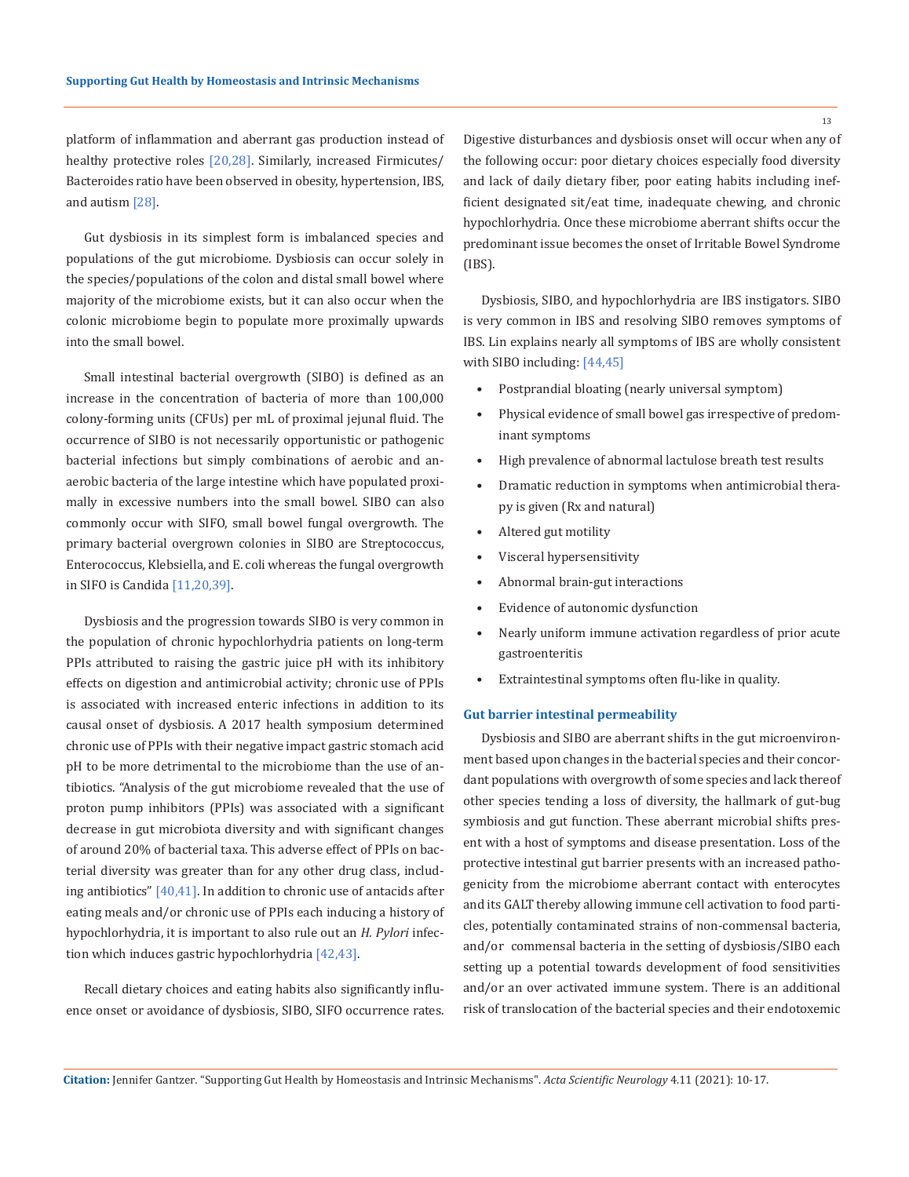platform of inflammation and aberrant gas production instead of healthy protective roles [20,28]. Similarly, increased Firmicutes/ Bacteroides ratio have been observed in obesity, hypertension, IBS, and autism [28].

Gut dysbiosis in its simplest form is imbalanced species and populations of the gut microbiome. Dysbiosis can occur solely in the species/populations of the colon and distal small bowel where majority of the microbiome exists, but it can also occur when the colonic microbiome begin to populate more proximally upwards into the small bowel.

Small intestinal bacterial overgrowth (SIBO) is defined as an increase in the concentration of bacteria of more than 100,000 colony-forming units (CFUs) per mL of proximal jejunal fluid. The occurrence of SIBO is not necessarily opportunistic or pathogenic bacterial infections but simply combinations of aerobic and anaerobic bacteria of the large intestine which have populated proximally in excessive numbers into the small bowel. SIBO can also commonly occur with SIFO, small bowel fungal overgrowth. The primary bacterial overgrown colonies in SIBO are Streptococcus, Enterococcus, Klebsiella, and E. coli whereas the fungal overgrowth in SIFO is Candida [11,20,39].

Dysbiosis and the progression towards SIBO is very common in the population of chronic hypochlorhydria patients on long-term PPIs attributed to raising the gastric juice pH with its inhibitory effects on digestion and antimicrobial activity; chronic use of PPIs is associated with increased enteric infections in addition to its causal onset of dysbiosis. A 2017 health symposium determined chronic use of PPIs with their negative impact gastric stomach acid pH to be more detrimental to the microbiome than the use of antibiotics. "Analysis of the gut microbiome revealed that the use of proton pump inhibitors (PPIs) was associated with a significant decrease in gut microbiota diversity and with significant changes of around 20% of bacterial taxa. This adverse effect of PPIs on bacterial diversity was greater than for any other drug class, including antibiotics" [40,41]. In addition to chronic use of antacids after eating meals and/or chronic use of PPIs each inducing a history of hypochlorhydria, it is important to also rule out an *H. Pylori* infection which induces gastric hypochlorhydria [42,43].

Recall dietary choices and eating habits also significantly influence onset or avoidance of dysbiosis, SIBO, SIFO occurrence rates. Digestive disturbances and dysbiosis onset will occur when any of the following occur: poor dietary choices especially food diversity and lack of daily dietary fiber, poor eating habits including inefficient designated sit/eat time, inadequate chewing, and chronic hypochlorhydria. Once these microbiome aberrant shifts occur the predominant issue becomes the onset of Irritable Bowel Syndrome (IBS).

Dysbiosis, SIBO, and hypochlorhydria are IBS instigators. SIBO is very common in IBS and resolving SIBO removes symptoms of IBS. Lin explains nearly all symptoms of IBS are wholly consistent with SIBO including: [44,45]

- Postprandial bloating (nearly universal symptom)
- Physical evidence of small bowel gas irrespective of predominant symptoms
- High prevalence of abnormal lactulose breath test results
- Dramatic reduction in symptoms when antimicrobial therapy is given (Rx and natural)
- Altered gut motility
- Visceral hypersensitivity
- Abnormal brain-gut interactions
- Evidence of autonomic dysfunction
- Nearly uniform immune activation regardless of prior acute gastroenteritis
- Extraintestinal symptoms often flu-like in quality.

#### **Gut barrier intestinal permeability**

Dysbiosis and SIBO are aberrant shifts in the gut microenvironment based upon changes in the bacterial species and their concordant populations with overgrowth of some species and lack thereof other species tending a loss of diversity, the hallmark of gut-bug symbiosis and gut function. These aberrant microbial shifts present with a host of symptoms and disease presentation. Loss of the protective intestinal gut barrier presents with an increased pathogenicity from the microbiome aberrant contact with enterocytes and its GALT thereby allowing immune cell activation to food particles, potentially contaminated strains of non-commensal bacteria, and/or commensal bacteria in the setting of dysbiosis/SIBO each setting up a potential towards development of food sensitivities and/or an over activated immune system. There is an additional risk of translocation of the bacterial species and their endotoxemic

13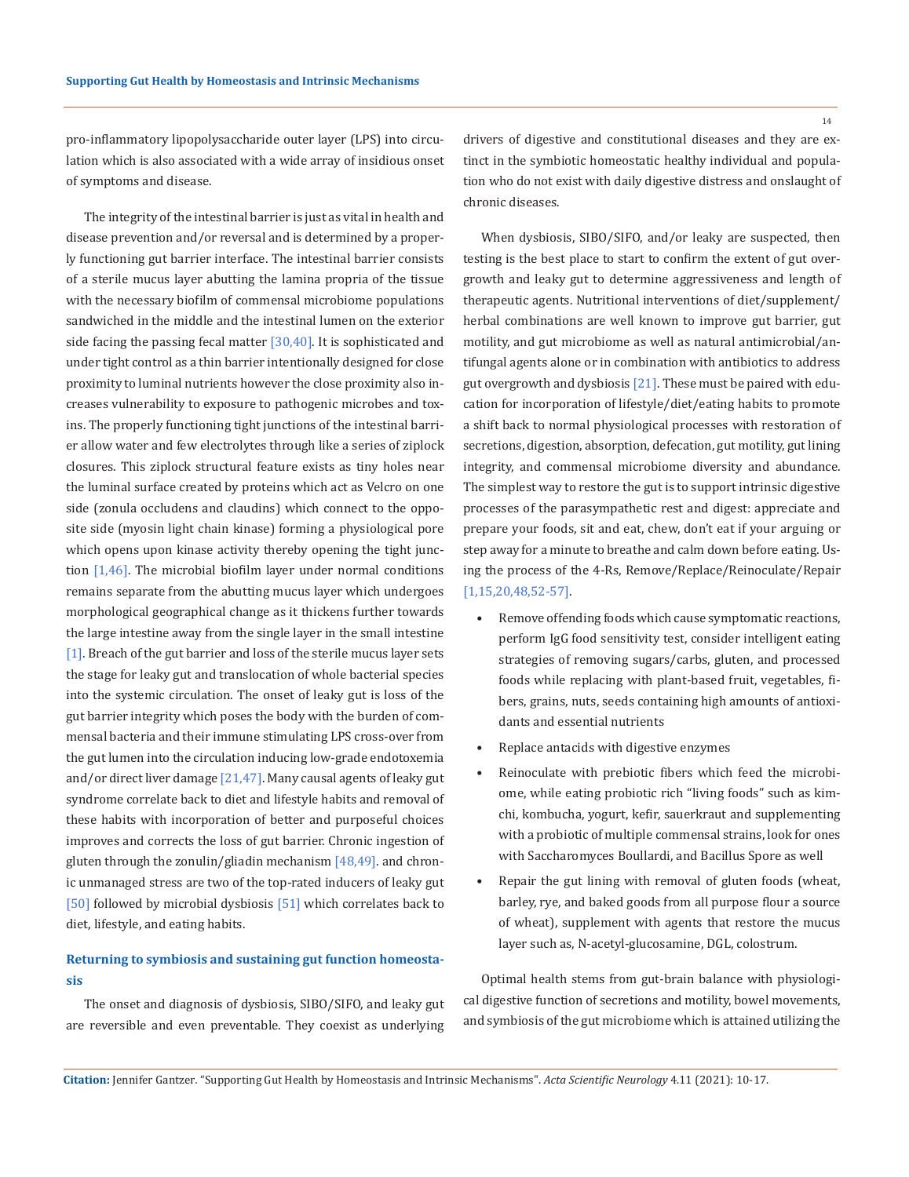14

pro-inflammatory lipopolysaccharide outer layer (LPS) into circulation which is also associated with a wide array of insidious onset of symptoms and disease.

The integrity of the intestinal barrier is just as vital in health and disease prevention and/or reversal and is determined by a properly functioning gut barrier interface. The intestinal barrier consists of a sterile mucus layer abutting the lamina propria of the tissue with the necessary biofilm of commensal microbiome populations sandwiched in the middle and the intestinal lumen on the exterior side facing the passing fecal matter  $[30,40]$ . It is sophisticated and under tight control as a thin barrier intentionally designed for close proximity to luminal nutrients however the close proximity also increases vulnerability to exposure to pathogenic microbes and toxins. The properly functioning tight junctions of the intestinal barrier allow water and few electrolytes through like a series of ziplock closures. This ziplock structural feature exists as tiny holes near the luminal surface created by proteins which act as Velcro on one side (zonula occludens and claudins) which connect to the opposite side (myosin light chain kinase) forming a physiological pore which opens upon kinase activity thereby opening the tight junction  $[1,46]$ . The microbial biofilm layer under normal conditions remains separate from the abutting mucus layer which undergoes morphological geographical change as it thickens further towards the large intestine away from the single layer in the small intestine [1]. Breach of the gut barrier and loss of the sterile mucus layer sets the stage for leaky gut and translocation of whole bacterial species into the systemic circulation. The onset of leaky gut is loss of the gut barrier integrity which poses the body with the burden of commensal bacteria and their immune stimulating LPS cross-over from the gut lumen into the circulation inducing low-grade endotoxemia and/or direct liver damage  $[21,47]$ . Many causal agents of leaky gut syndrome correlate back to diet and lifestyle habits and removal of these habits with incorporation of better and purposeful choices improves and corrects the loss of gut barrier. Chronic ingestion of gluten through the zonulin/gliadin mechanism [48,49]. and chronic unmanaged stress are two of the top-rated inducers of leaky gut [50] followed by microbial dysbiosis [51] which correlates back to diet, lifestyle, and eating habits.

## **Returning to symbiosis and sustaining gut function homeostasis**

The onset and diagnosis of dysbiosis, SIBO/SIFO, and leaky gut are reversible and even preventable. They coexist as underlying drivers of digestive and constitutional diseases and they are extinct in the symbiotic homeostatic healthy individual and population who do not exist with daily digestive distress and onslaught of chronic diseases.

When dysbiosis, SIBO/SIFO, and/or leaky are suspected, then testing is the best place to start to confirm the extent of gut overgrowth and leaky gut to determine aggressiveness and length of therapeutic agents. Nutritional interventions of diet/supplement/ herbal combinations are well known to improve gut barrier, gut motility, and gut microbiome as well as natural antimicrobial/antifungal agents alone or in combination with antibiotics to address gut overgrowth and dysbiosis [21]. These must be paired with education for incorporation of lifestyle/diet/eating habits to promote a shift back to normal physiological processes with restoration of secretions, digestion, absorption, defecation, gut motility, gut lining integrity, and commensal microbiome diversity and abundance. The simplest way to restore the gut is to support intrinsic digestive processes of the parasympathetic rest and digest: appreciate and prepare your foods, sit and eat, chew, don't eat if your arguing or step away for a minute to breathe and calm down before eating. Using the process of the 4-Rs, Remove/Replace/Reinoculate/Repair [1,15,20,48,52-57].

- Remove offending foods which cause symptomatic reactions, perform IgG food sensitivity test, consider intelligent eating strategies of removing sugars/carbs, gluten, and processed foods while replacing with plant-based fruit, vegetables, fibers, grains, nuts, seeds containing high amounts of antioxidants and essential nutrients
- Replace antacids with digestive enzymes
- Reinoculate with prebiotic fibers which feed the microbiome, while eating probiotic rich "living foods" such as kimchi, kombucha, yogurt, kefir, sauerkraut and supplementing with a probiotic of multiple commensal strains, look for ones with Saccharomyces Boullardi, and Bacillus Spore as well
- Repair the gut lining with removal of gluten foods (wheat, barley, rye, and baked goods from all purpose flour a source of wheat), supplement with agents that restore the mucus layer such as, N-acetyl-glucosamine, DGL, colostrum.

Optimal health stems from gut-brain balance with physiological digestive function of secretions and motility, bowel movements, and symbiosis of the gut microbiome which is attained utilizing the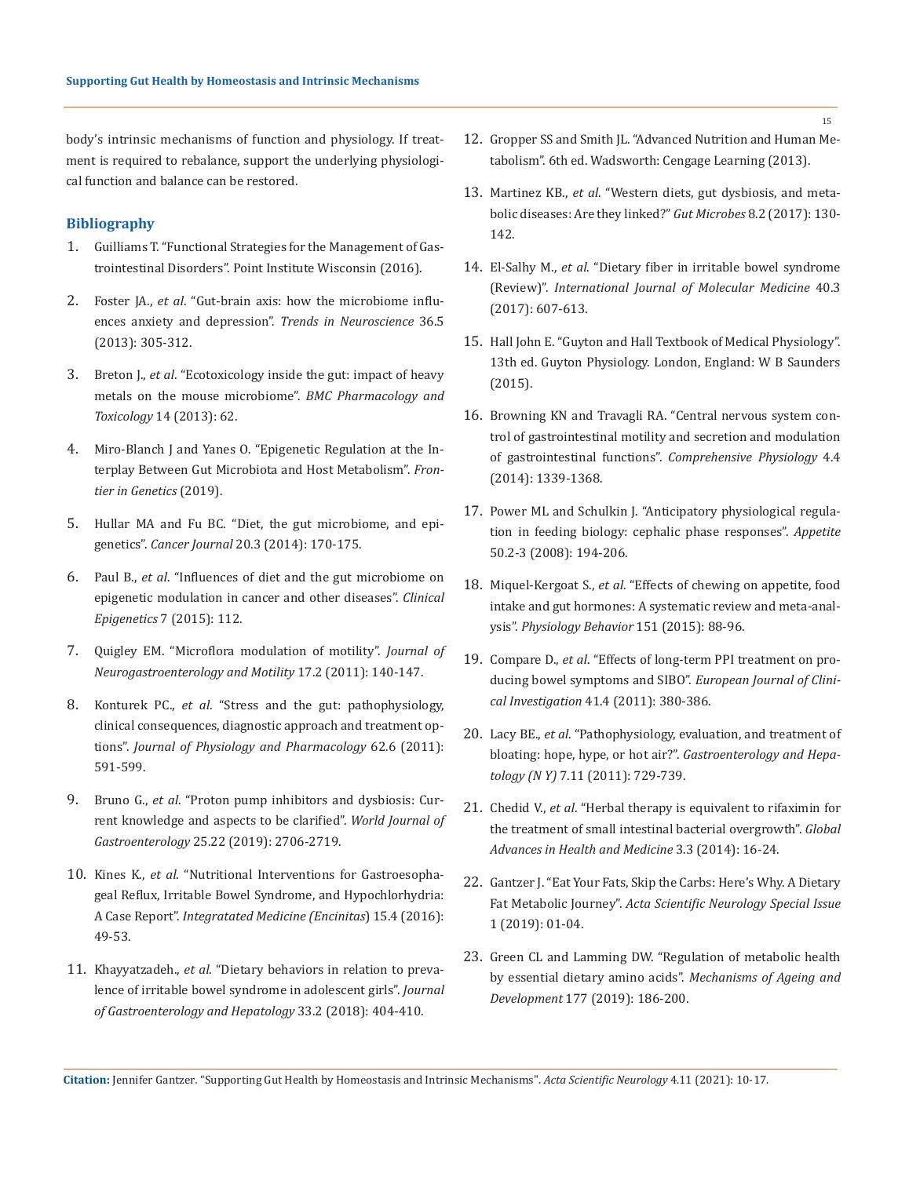body's intrinsic mechanisms of function and physiology. If treatment is required to rebalance, support the underlying physiological function and balance can be restored.

### **Bibliography**

- 1. Guilliams T. "Functional Strategies for the Management of Gastrointestinal Disorders". Point Institute Wisconsin (2016).
- 2. Foster JA., *et al*[. "Gut-brain axis: how the microbiome influ](https://pubmed.ncbi.nlm.nih.gov/23384445/)[ences anxiety and depression".](https://pubmed.ncbi.nlm.nih.gov/23384445/) *Trends in Neuroscience* 36.5 [\(2013\): 305-312.](https://pubmed.ncbi.nlm.nih.gov/23384445/)
- 3. Breton J., *et al*[. "Ecotoxicology inside the gut: impact of heavy](https://bmcpharmacoltoxicol.biomedcentral.com/articles/10.1186/2050-6511-14-62)  [metals on the mouse microbiome".](https://bmcpharmacoltoxicol.biomedcentral.com/articles/10.1186/2050-6511-14-62) *BMC Pharmacology and Toxicology* [14 \(2013\): 62.](https://bmcpharmacoltoxicol.biomedcentral.com/articles/10.1186/2050-6511-14-62)
- 4. [Miro-Blanch J and Yanes O. "Epigenetic Regulation at the In](https://www.frontiersin.org/articles/10.3389/fgene.2019.00638/full)[terplay Between Gut Microbiota and Host Metabolism".](https://www.frontiersin.org/articles/10.3389/fgene.2019.00638/full) *Fron[tier in Genetics](https://www.frontiersin.org/articles/10.3389/fgene.2019.00638/full)* (2019).
- 5. [Hullar MA and Fu BC. "Diet, the gut microbiome, and epi](https://journals.lww.com/journalppo/Abstract/2014/05000/Diet,_the_Gut_Microbiome,_and_Epigenetics.2.aspx)genetics". *Cancer Journal* [20.3 \(2014\): 170-175.](https://journals.lww.com/journalppo/Abstract/2014/05000/Diet,_the_Gut_Microbiome,_and_Epigenetics.2.aspx)
- 6. Paul B., *et al*[. "Influences of diet and the gut microbiome on](https://pubmed.ncbi.nlm.nih.gov/26478753/)  [epigenetic modulation in cancer and other diseases".](https://pubmed.ncbi.nlm.nih.gov/26478753/) *Clinical Epigenetics* [7 \(2015\): 112.](https://pubmed.ncbi.nlm.nih.gov/26478753/)
- 7. [Quigley EM. "Microflora modulation of motility".](https://www.jnmjournal.org/journal/view.html?doi=10.5056/jnm.2011.17.2.140) *Journal of [Neurogastroenterology and Motility](https://www.jnmjournal.org/journal/view.html?doi=10.5056/jnm.2011.17.2.140)* 17.2 (2011): 140-147.
- 8. Konturek PC., *et al*[. "Stress and the gut: pathophysiology,](https://pubmed.ncbi.nlm.nih.gov/22314561/)  [clinical consequences, diagnostic approach and treatment op](https://pubmed.ncbi.nlm.nih.gov/22314561/)tions". *[Journal of Physiology and Pharmacology](https://pubmed.ncbi.nlm.nih.gov/22314561/)* 62.6 (2011): [591-599.](https://pubmed.ncbi.nlm.nih.gov/22314561/)
- 9. Bruno G., *et al*[. "Proton pump inhibitors and dysbiosis: Cur](https://www.wjgnet.com/1007-9327/full/v25/i22/2706.htm)[rent knowledge and aspects to be clarified".](https://www.wjgnet.com/1007-9327/full/v25/i22/2706.htm) *World Journal of Gastroenterology* [25.22 \(2019\): 2706-2719.](https://www.wjgnet.com/1007-9327/full/v25/i22/2706.htm)
- 10. Kines K., *et al*[. "Nutritional Interventions for Gastroesopha](https://www.ncbi.nlm.nih.gov/pmc/articles/PMC4991651/)[geal Reflux, Irritable Bowel Syndrome, and Hypochlorhydria:](https://www.ncbi.nlm.nih.gov/pmc/articles/PMC4991651/)  A Case Report". *[Integratated Medicine \(Encinitas](https://www.ncbi.nlm.nih.gov/pmc/articles/PMC4991651/)*) 15.4 (2016): [49-53.](https://www.ncbi.nlm.nih.gov/pmc/articles/PMC4991651/)
- 11. Khayyatzadeh., *et al*[. "Dietary behaviors in relation to preva](https://onlinelibrary.wiley.com/doi/abs/10.1111/jgh.13908)[lence of irritable bowel syndrome in adolescent girls".](https://onlinelibrary.wiley.com/doi/abs/10.1111/jgh.13908) *Journal [of Gastroenterology](https://onlinelibrary.wiley.com/doi/abs/10.1111/jgh.13908) and Hepatology* 33.2 (2018): 404-410.
- 12. Gropper SS and Smith JL. "Advanced Nutrition and Human Metabolism". 6th ed. Wadsworth: Cengage Learning (2013).
- 13. Martinez KB., *et al*[. "Western diets, gut dysbiosis, and meta](https://www.tandfonline.com/doi/full/10.1080/19490976.2016.1270811)[bolic diseases: Are they linked?"](https://www.tandfonline.com/doi/full/10.1080/19490976.2016.1270811) *Gut Microbes* 8.2 (2017): 130- [142.](https://www.tandfonline.com/doi/full/10.1080/19490976.2016.1270811)
- 14. El-Salhy M., *et al*[. "Dietary fiber in irritable bowel syndrome](https://www.spandidos-publications.com/10.3892/ijmm.2017.3072)  (Review)". *[International Journal of Molecular Medicine](https://www.spandidos-publications.com/10.3892/ijmm.2017.3072)* 40.3 [\(2017\): 607-613.](https://www.spandidos-publications.com/10.3892/ijmm.2017.3072)
- 15. Hall John E. "Guyton and Hall Textbook of Medical Physiology". 13th ed. Guyton Physiology. London, England: W B Saunders (2015).
- 16. [Browning KN and Travagli RA. "Central nervous system con](https://onlinelibrary.wiley.com/doi/10.1002/cphy.c130055)[trol of gastrointestinal motility and secretion and modulation](https://onlinelibrary.wiley.com/doi/10.1002/cphy.c130055)  of gastrointestinal functions". *[Comprehensive Physiology](https://onlinelibrary.wiley.com/doi/10.1002/cphy.c130055)* 4.4 [\(2014\): 1339-1368.](https://onlinelibrary.wiley.com/doi/10.1002/cphy.c130055)
- 17. [Power ML and Schulkin J. "Anticipatory physiological regula](https://pubmed.ncbi.nlm.nih.gov/18045735/)[tion in feeding biology: cephalic phase responses".](https://pubmed.ncbi.nlm.nih.gov/18045735/) *Appetite*  [50.2-3 \(2008\): 194-206.](https://pubmed.ncbi.nlm.nih.gov/18045735/)
- 18. Miquel-Kergoat S., *et al*[. "Effects of chewing on appetite, food](https://pubmed.ncbi.nlm.nih.gov/26188140/)  [intake and gut hormones: A systematic review and meta-anal](https://pubmed.ncbi.nlm.nih.gov/26188140/)ysis". *[Physiology Behavior](https://pubmed.ncbi.nlm.nih.gov/26188140/)* 151 (2015): 88-96.
- 19. Compare D., *et al*[. "Effects of long-term PPI treatment on pro](https://onlinelibrary.wiley.com/doi/10.1111/j.1365-2362.2010.02419.x)[ducing bowel symptoms and SIBO".](https://onlinelibrary.wiley.com/doi/10.1111/j.1365-2362.2010.02419.x) *European Journal of Clinical Investigation* [41.4 \(2011\): 380-386.](https://onlinelibrary.wiley.com/doi/10.1111/j.1365-2362.2010.02419.x)
- 20. Lacy BE., *et al*[. "Pathophysiology, evaluation, and treatment of](https://www.ncbi.nlm.nih.gov/pmc/articles/PMC3264926/)  bloating: hope, hype, or hot air?". *[Gastroenterology and Hepa](https://www.ncbi.nlm.nih.gov/pmc/articles/PMC3264926/)tology (N Y)* [7.11 \(2011\): 729-739.](https://www.ncbi.nlm.nih.gov/pmc/articles/PMC3264926/)
- 21. Chedid V., *et al*[. "Herbal therapy is equivalent to rifaximin for](https://journals.sagepub.com/doi/10.7453/gahmj.2014.019)  [the treatment of small intestinal bacterial overgrowth".](https://journals.sagepub.com/doi/10.7453/gahmj.2014.019) *Global [Advances in Health and Medicine](https://journals.sagepub.com/doi/10.7453/gahmj.2014.019)* 3.3 (2014): 16-24.
- 22. Gantzer J. "Eat Your Fats, Skip the Carbs: Here's Why. A Dietary Fat Metabolic Journey". *Acta Scientific Neurology Special Issue* 1 (2019): 01-04.
- 23. [Green CL and Lamming DW. "Regulation of metabolic health](https://www.sciencedirect.com/science/article/abs/pii/S0047637418300794)  [by essential dietary amino acids".](https://www.sciencedirect.com/science/article/abs/pii/S0047637418300794) *Mechanisms of Ageing and Development* [177 \(2019\): 186-200.](https://www.sciencedirect.com/science/article/abs/pii/S0047637418300794)

**Citation:** Jennifer Gantzer*.* "Supporting Gut Health by Homeostasis and Intrinsic Mechanisms". *Acta Scientific Neurology* 4.11 (2021): 10-17.

15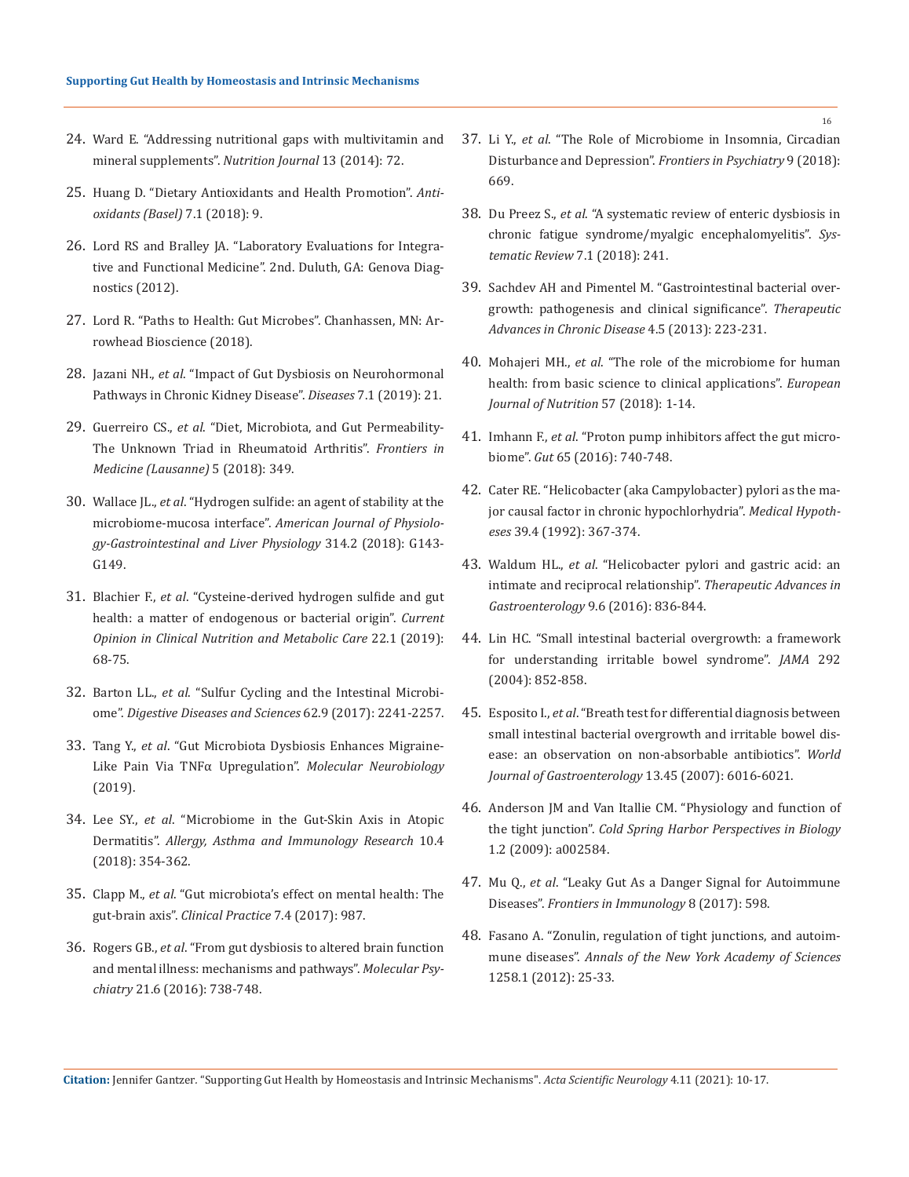- 24. [Ward E. "Addressing nutritional gaps with multivitamin and](https://nutritionj.biomedcentral.com/articles/10.1186/1475-2891-13-72)  [mineral supplements".](https://nutritionj.biomedcentral.com/articles/10.1186/1475-2891-13-72) *Nutrition Journal* 13 (2014): 72.
- 25. [Huang D. "Dietary Antioxidants and Health Promotion".](https://www.mdpi.com/2076-3921/7/1/9) *Anti[oxidants \(Basel\)](https://www.mdpi.com/2076-3921/7/1/9)* 7.1 (2018): 9.
- 26. Lord RS and Bralley JA. "Laboratory Evaluations for Integrative and Functional Medicine". 2nd. Duluth, GA: Genova Diagnostics (2012).
- 27. Lord R. "Paths to Health: Gut Microbes". Chanhassen, MN: Arrowhead Bioscience (2018).
- 28. Jazani NH., *et al*[. "Impact of Gut Dysbiosis on Neurohormonal](https://www.mdpi.com/2079-9721/7/1/21)  [Pathways in Chronic Kidney Disease".](https://www.mdpi.com/2079-9721/7/1/21) *Diseases* 7.1 (2019): 21.
- 29. Guerreiro CS., *et al*[. "Diet, Microbiota, and Gut Permeability-](https://www.frontiersin.org/articles/10.3389/fmed.2018.00349/full)[The Unknown Triad in Rheumatoid Arthritis".](https://www.frontiersin.org/articles/10.3389/fmed.2018.00349/full) *Frontiers in [Medicine \(Lausanne\)](https://www.frontiersin.org/articles/10.3389/fmed.2018.00349/full)* 5 (2018): 349.
- 30. Wallace JL., *et al*[. "Hydrogen sulfide: an agent of stability at the](https://pubmed.ncbi.nlm.nih.gov/29025733/)  microbiome-mucosa interface". *[American Journal of Physiolo](https://pubmed.ncbi.nlm.nih.gov/29025733/)[gy-Gastrointestinal and Liver Physiology](https://pubmed.ncbi.nlm.nih.gov/29025733/)* 314.2 (2018): G143- [G149.](https://pubmed.ncbi.nlm.nih.gov/29025733/)
- 31. Blachier F., *et al*[. "Cysteine-derived hydrogen sulfide and gut](https://pubmed.ncbi.nlm.nih.gov/30461448/)  [health: a matter of endogenous or bacterial origin".](https://pubmed.ncbi.nlm.nih.gov/30461448/) *Current [Opinion in Clinical Nutrition and Metabolic Care](https://pubmed.ncbi.nlm.nih.gov/30461448/)* 22.1 (2019): [68-75.](https://pubmed.ncbi.nlm.nih.gov/30461448/)
- 32. Barton LL., *et al*[. "Sulfur Cycling and the Intestinal Microbi](https://pubmed.ncbi.nlm.nih.gov/28766244/)ome". *[Digestive Diseases and Sciences](https://pubmed.ncbi.nlm.nih.gov/28766244/)* 62.9 (2017): 2241-2257.
- 33. Tang Y., *et al*[. "Gut Microbiota Dysbiosis Enhances Migraine-](https://link.springer.com/article/10.1007/s12035-019-01721-7)[Like Pain Via TNFα Upregulation".](https://link.springer.com/article/10.1007/s12035-019-01721-7) *Molecular Neurobiology*  [\(2019\).](https://link.springer.com/article/10.1007/s12035-019-01721-7)
- 34. Lee SY., *et al*[. "Microbiome in the Gut-Skin Axis in Atopic](https://pubmed.ncbi.nlm.nih.gov/29949831/)  Dermatitis". *[Allergy, Asthma and Immunology Research](https://pubmed.ncbi.nlm.nih.gov/29949831/)* 10.4 [\(2018\): 354-362.](https://pubmed.ncbi.nlm.nih.gov/29949831/)
- 35. Clapp M., *et al*[. "Gut microbiota's effect on mental health: The](https://pubmed.ncbi.nlm.nih.gov/29071061/)  gut-brain axis". *[Clinical Practice](https://pubmed.ncbi.nlm.nih.gov/29071061/)* 7.4 (2017): 987.
- 36. Rogers GB., *et al*[. "From gut dysbiosis to altered brain function](https://www.nature.com/articles/mp201650)  [and mental illness: mechanisms and pathways".](https://www.nature.com/articles/mp201650) *Molecular Psychiatry* [21.6 \(2016\): 738-748.](https://www.nature.com/articles/mp201650)
- 37. Li Y., *et al*[. "The Role of Microbiome in Insomnia, Circadian](https://www.frontiersin.org/articles/10.3389/fpsyt.2018.00669/full)  [Disturbance and Depression".](https://www.frontiersin.org/articles/10.3389/fpsyt.2018.00669/full) *Frontiers in Psychiatry* 9 (2018): [669.](https://www.frontiersin.org/articles/10.3389/fpsyt.2018.00669/full)
- 38. Du Preez S., *et al*[. "A systematic review of enteric dysbiosis in](https://systematicreviewsjournal.biomedcentral.com/articles/10.1186/s13643-018-0909-0)  [chronic fatigue syndrome/myalgic encephalomyelitis".](https://systematicreviewsjournal.biomedcentral.com/articles/10.1186/s13643-018-0909-0) *Sys[tematic Review](https://systematicreviewsjournal.biomedcentral.com/articles/10.1186/s13643-018-0909-0)* 7.1 (2018): 241.
- 39. [Sachdev AH and Pimentel M. "Gastrointestinal bacterial over](https://journals.sagepub.com/doi/10.1177/2040622313496126)[growth: pathogenesis and clinical significance".](https://journals.sagepub.com/doi/10.1177/2040622313496126) *Therapeutic [Advances in Chronic Disease](https://journals.sagepub.com/doi/10.1177/2040622313496126)* 4.5 (2013): 223-231.
- 40. Mohajeri MH., *et al*[. "The role of the microbiome for human](https://www.ncbi.nlm.nih.gov/pmc/articles/PMC5962619/)  [health: from basic science to clinical applications".](https://www.ncbi.nlm.nih.gov/pmc/articles/PMC5962619/) *European [Journal of Nutrition](https://www.ncbi.nlm.nih.gov/pmc/articles/PMC5962619/)* 57 (2018): 1-14.
- 41. Imhann F., *et al*. "Proton pump inhibitors affect the gut microbiome". *Gut* 65 (2016): 740-748.
- 42. [Cater RE. "Helicobacter \(aka Campylobacter\) pylori as the ma](https://pubmed.ncbi.nlm.nih.gov/1494326/)[jor causal factor in chronic hypochlorhydria".](https://pubmed.ncbi.nlm.nih.gov/1494326/) *Medical Hypotheses* [39.4 \(1992\): 367-374.](https://pubmed.ncbi.nlm.nih.gov/1494326/)
- 43. Waldum HL., *et al*[. "Helicobacter pylori and gastric acid: an](https://pubmed.ncbi.nlm.nih.gov/27803738/)  [intimate and reciprocal relationship".](https://pubmed.ncbi.nlm.nih.gov/27803738/) *Therapeutic Advances in [Gastroenterology](https://pubmed.ncbi.nlm.nih.gov/27803738/)* 9.6 (2016): 836-844.
- 44. [Lin HC. "Small intestinal bacterial overgrowth: a framework](https://jamanetwork.com/journals/jama/fullarticle/199251)  [for understanding irritable bowel syndrome".](https://jamanetwork.com/journals/jama/fullarticle/199251) *JAMA* 292 [\(2004\): 852-858.](https://jamanetwork.com/journals/jama/fullarticle/199251)
- 45. Esposito I., *et al*[. "Breath test for differential diagnosis between](https://pubmed.ncbi.nlm.nih.gov/18023092/)  [small intestinal bacterial overgrowth and irritable bowel dis](https://pubmed.ncbi.nlm.nih.gov/18023092/)[ease: an observation on non-absorbable antibiotics".](https://pubmed.ncbi.nlm.nih.gov/18023092/) *World [Journal of Gastroenterology](https://pubmed.ncbi.nlm.nih.gov/18023092/)* 13.45 (2007): 6016-6021.
- 46. [Anderson JM and Van Itallie CM. "Physiology and function of](https://cshperspectives.cshlp.org/content/1/2/a002584)  the tight junction". *[Cold Spring Harbor Perspectives in Biology](https://cshperspectives.cshlp.org/content/1/2/a002584)*  [1.2 \(2009\): a002584.](https://cshperspectives.cshlp.org/content/1/2/a002584)
- 47. Mu Q., *et al*[. "Leaky Gut As a Danger Signal for Autoimmune](https://www.frontiersin.org/articles/10.3389/fimmu.2017.00598/full)  Diseases". *[Frontiers in Immunology](https://www.frontiersin.org/articles/10.3389/fimmu.2017.00598/full)* 8 (2017): 598.
- 48. [Fasano A. "Zonulin, regulation of tight junctions, and autoim](https://www.ncbi.nlm.nih.gov/pmc/articles/PMC3384703/)mune diseases". *[Annals of the New York Academy of Sciences](https://www.ncbi.nlm.nih.gov/pmc/articles/PMC3384703/)*  [1258.1 \(2012\): 25-33.](https://www.ncbi.nlm.nih.gov/pmc/articles/PMC3384703/)

**Citation:** Jennifer Gantzer*.* "Supporting Gut Health by Homeostasis and Intrinsic Mechanisms". *Acta Scientific Neurology* 4.11 (2021): 10-17.

16